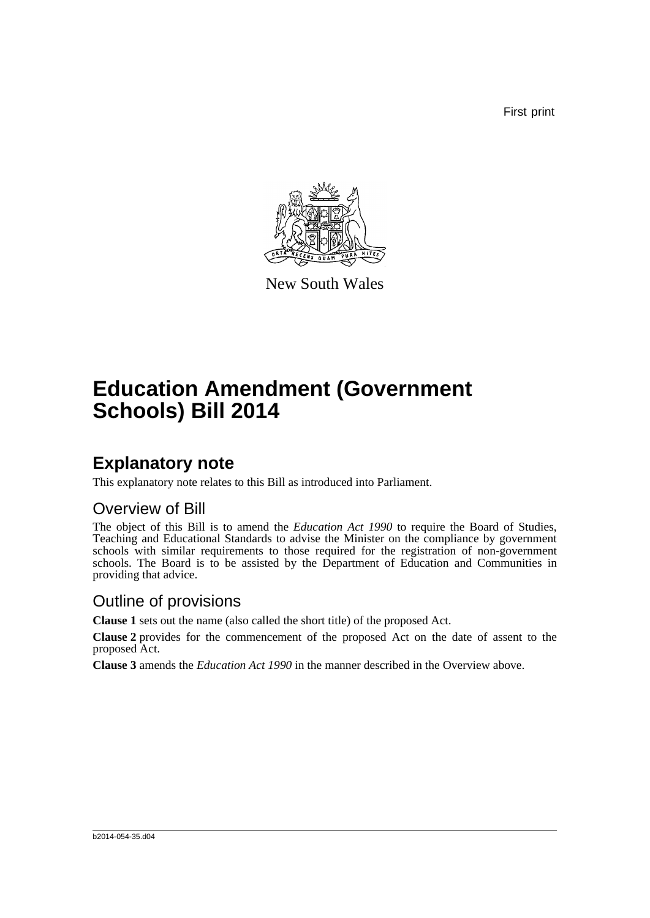First print



New South Wales

# **Education Amendment (Government Schools) Bill 2014**

### **Explanatory note**

This explanatory note relates to this Bill as introduced into Parliament.

#### Overview of Bill

The object of this Bill is to amend the *Education Act 1990* to require the Board of Studies, Teaching and Educational Standards to advise the Minister on the compliance by government schools with similar requirements to those required for the registration of non-government schools. The Board is to be assisted by the Department of Education and Communities in providing that advice.

#### Outline of provisions

**Clause 1** sets out the name (also called the short title) of the proposed Act.

**Clause 2** provides for the commencement of the proposed Act on the date of assent to the proposed Act.

**Clause 3** amends the *Education Act 1990* in the manner described in the Overview above.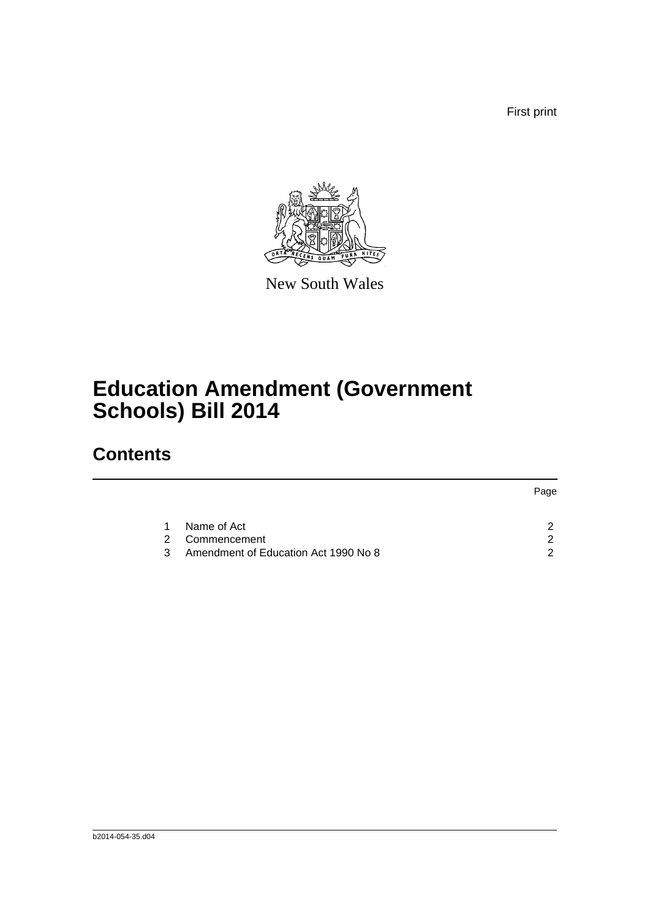First print



New South Wales

## **Education Amendment (Government Schools) Bill 2014**

## **Contents**

|   |                                      | Page |
|---|--------------------------------------|------|
|   |                                      |      |
|   | Name of Act                          |      |
|   | Commencement<br>2.                   |      |
| ર | Amendment of Education Act 1990 No 8 |      |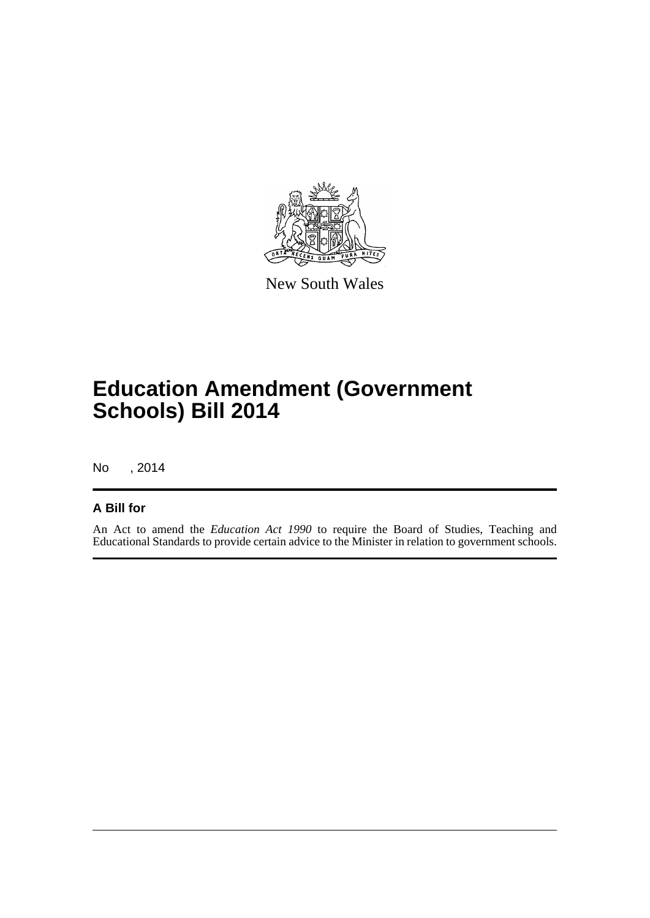

New South Wales

## **Education Amendment (Government Schools) Bill 2014**

No , 2014

#### **A Bill for**

An Act to amend the *Education Act 1990* to require the Board of Studies, Teaching and Educational Standards to provide certain advice to the Minister in relation to government schools.